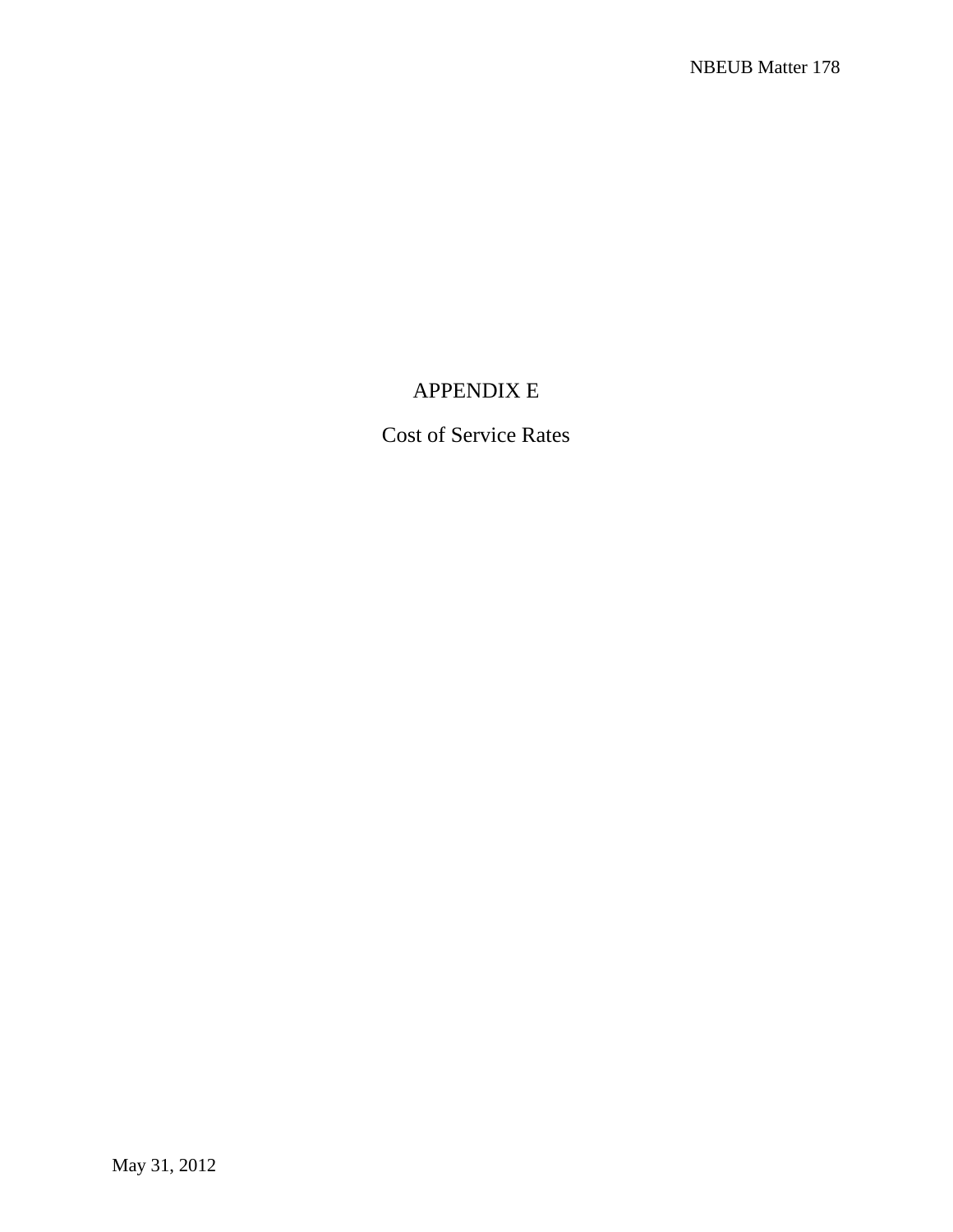# APPENDIX E

Cost of Service Rates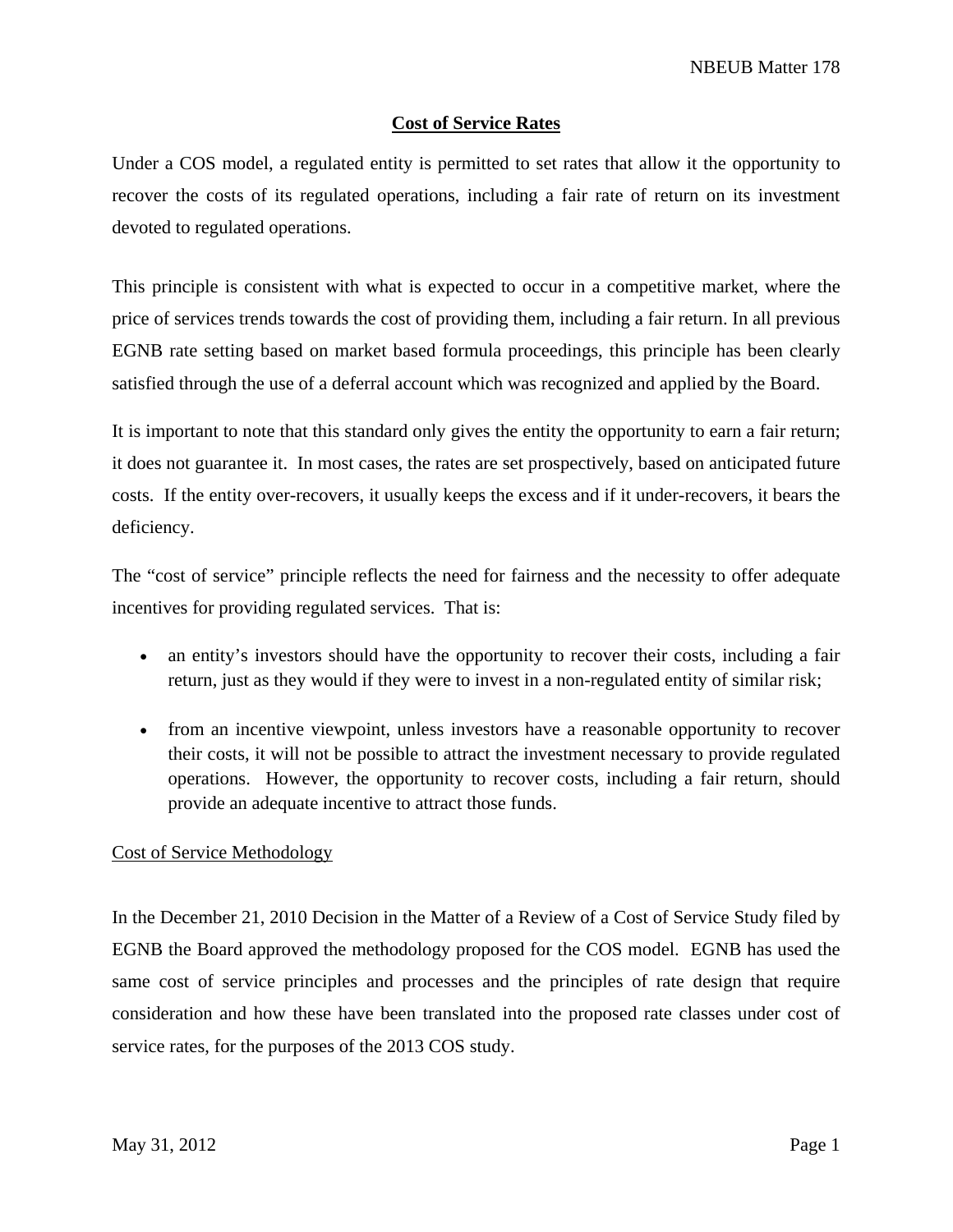## **Cost of Service Rates**

Under a COS model, a regulated entity is permitted to set rates that allow it the opportunity to recover the costs of its regulated operations, including a fair rate of return on its investment devoted to regulated operations.

This principle is consistent with what is expected to occur in a competitive market, where the price of services trends towards the cost of providing them, including a fair return. In all previous EGNB rate setting based on market based formula proceedings, this principle has been clearly satisfied through the use of a deferral account which was recognized and applied by the Board.

It is important to note that this standard only gives the entity the opportunity to earn a fair return; it does not guarantee it. In most cases, the rates are set prospectively, based on anticipated future costs. If the entity over-recovers, it usually keeps the excess and if it under-recovers, it bears the deficiency.

The "cost of service" principle reflects the need for fairness and the necessity to offer adequate incentives for providing regulated services. That is:

- an entity's investors should have the opportunity to recover their costs, including a fair return, just as they would if they were to invest in a non-regulated entity of similar risk;
- from an incentive viewpoint, unless investors have a reasonable opportunity to recover their costs, it will not be possible to attract the investment necessary to provide regulated operations. However, the opportunity to recover costs, including a fair return, should provide an adequate incentive to attract those funds.

## Cost of Service Methodology

In the December 21, 2010 Decision in the Matter of a Review of a Cost of Service Study filed by EGNB the Board approved the methodology proposed for the COS model. EGNB has used the same cost of service principles and processes and the principles of rate design that require consideration and how these have been translated into the proposed rate classes under cost of service rates, for the purposes of the 2013 COS study.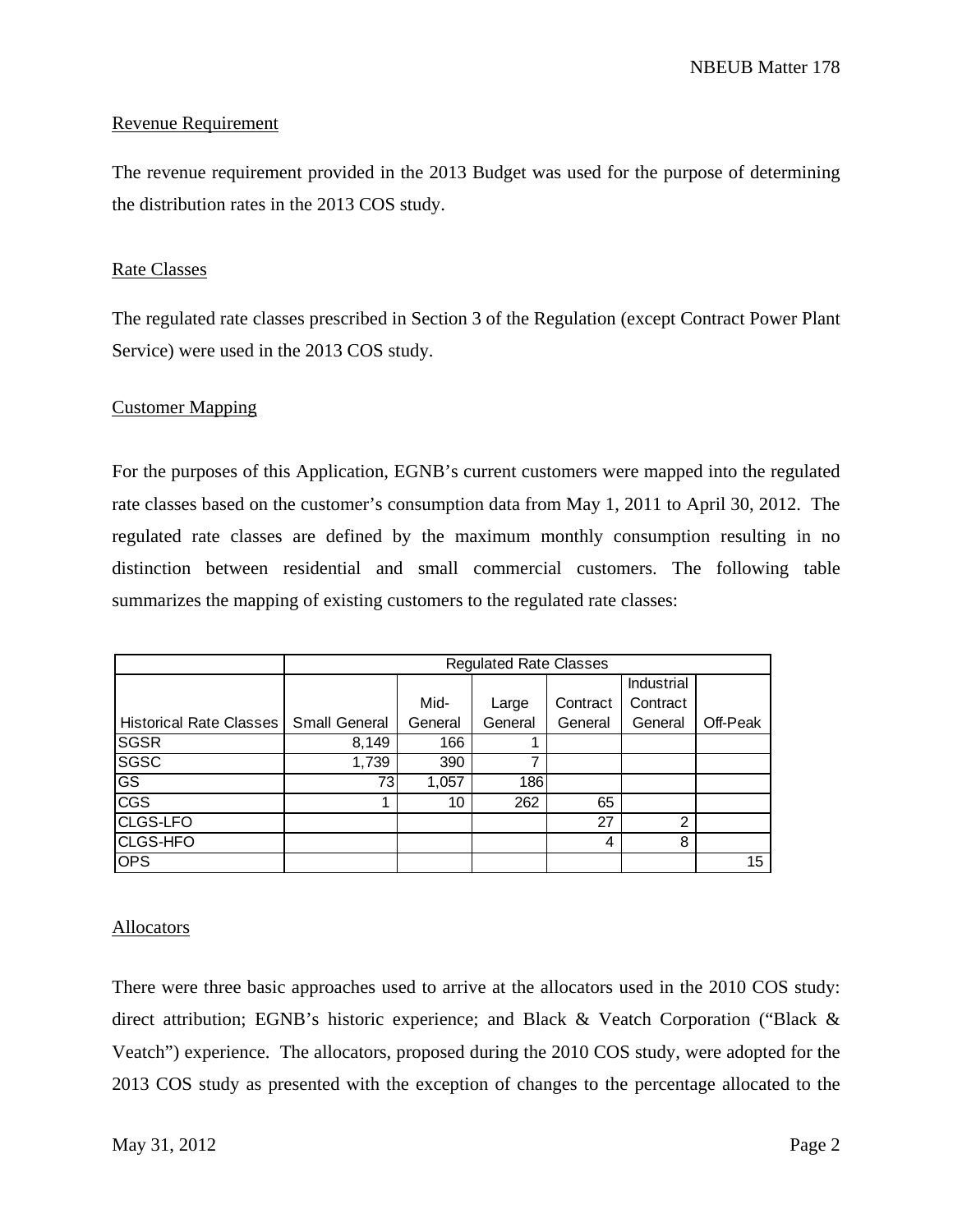NBEUB Matter 178

#### Revenue Requirement

The revenue requirement provided in the 2013 Budget was used for the purpose of determining the distribution rates in the 2013 COS study.

### Rate Classes

The regulated rate classes prescribed in Section 3 of the Regulation (except Contract Power Plant Service) were used in the 2013 COS study.

#### Customer Mapping

For the purposes of this Application, EGNB's current customers were mapped into the regulated rate classes based on the customer's consumption data from May 1, 2011 to April 30, 2012. The regulated rate classes are defined by the maximum monthly consumption resulting in no distinction between residential and small commercial customers. The following table summarizes the mapping of existing customers to the regulated rate classes:

|                                | <b>Regulated Rate Classes</b> |         |         |          |                |          |
|--------------------------------|-------------------------------|---------|---------|----------|----------------|----------|
|                                |                               |         |         |          | Industrial     |          |
|                                |                               | Mid-    | Large   | Contract | Contract       |          |
| <b>Historical Rate Classes</b> | <b>Small General</b>          | General | General | General  | General        | Off-Peak |
| <b>SGSR</b>                    | 8,149                         | 166     |         |          |                |          |
| <b>SGSC</b>                    | 1,739                         | 390     | 7       |          |                |          |
| $\overline{\text{GS}}$         | 73 <sub>1</sub>               | 1,057   | 186     |          |                |          |
| <b>CGS</b>                     |                               | 10      | 262     | 65       |                |          |
| <b>CLGS-LFO</b>                |                               |         |         | 27       | $\mathfrak{p}$ |          |
| CLGS-HFO                       |                               |         |         | 4        | 8              |          |
| <b>OPS</b>                     |                               |         |         |          |                | 15       |

#### **Allocators**

There were three basic approaches used to arrive at the allocators used in the 2010 COS study: direct attribution; EGNB's historic experience; and Black & Veatch Corporation ("Black & Veatch") experience. The allocators, proposed during the 2010 COS study, were adopted for the 2013 COS study as presented with the exception of changes to the percentage allocated to the